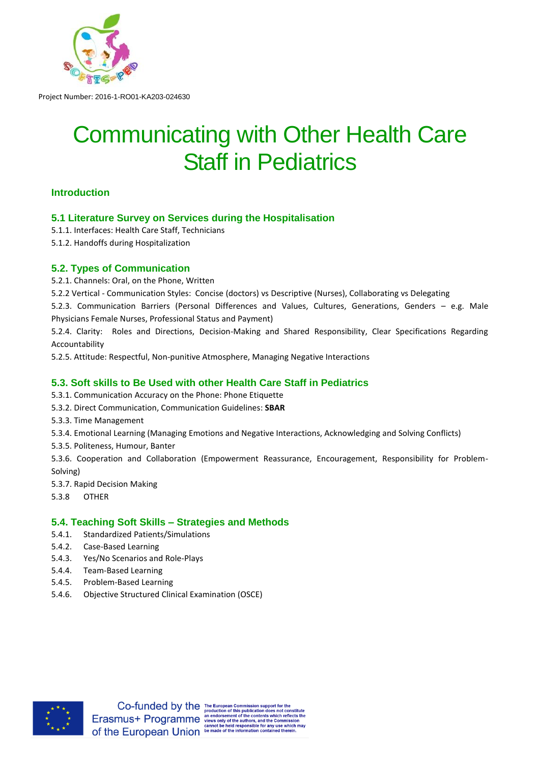

# Communicating with Other Health Care Staff in Pediatrics

# **Introduction**

# **5.1 Literature Survey on Services during the Hospitalisation**

- 5.1.1. Interfaces: Health Care Staff, Technicians
- 5.1.2. Handoffs during Hospitalization

# **5.2. Types of Communication**

- 5.2.1. Channels: Oral, on the Phone, Written
- 5.2.2 Vertical Communication Styles: Concise (doctors) vs Descriptive (Nurses), Collaborating vs Delegating
- 5.2.3. Communication Barriers (Personal Differences and Values, Cultures, Generations, Genders e.g. Male Physicians Female Nurses, Professional Status and Payment)

5.2.4. Clarity: Roles and Directions, Decision-Making and Shared Responsibility, Clear Specifications Regarding Accountability

5.2.5. Attitude: Respectful, Non-punitive Atmosphere, Managing Negative Interactions

# **5.3. Soft skills to Be Used with other Health Care Staff in Pediatrics**

- 5.3.1. Communication Accuracy on the Phone: Phone Etiquette
- 5.3.2. Direct Communication, Communication Guidelines: **SBAR**
- 5.3.3. Time Management
- 5.3.4. Emotional Learning (Managing Emotions and Negative Interactions, Acknowledging and Solving Conflicts)
- 5.3.5. Politeness, Humour, Banter

5.3.6. Cooperation and Collaboration (Empowerment Reassurance, Encouragement, Responsibility for Problem-Solving)

- 5.3.7. Rapid Decision Making
- 5.3.8 OTHER

# **5.4. Teaching Soft Skills – Strategies and Methods**

- 5.4.1. Standardized Patients/Simulations
- 5.4.2. Case-Based Learning
- 5.4.3. Yes/No Scenarios and Role-Plays
- 5.4.4. Team-Based Learning
- 5.4.5. Problem-Based Learning
- 5.4.6. Objective Structured Clinical Examination (OSCE)



ich reflects the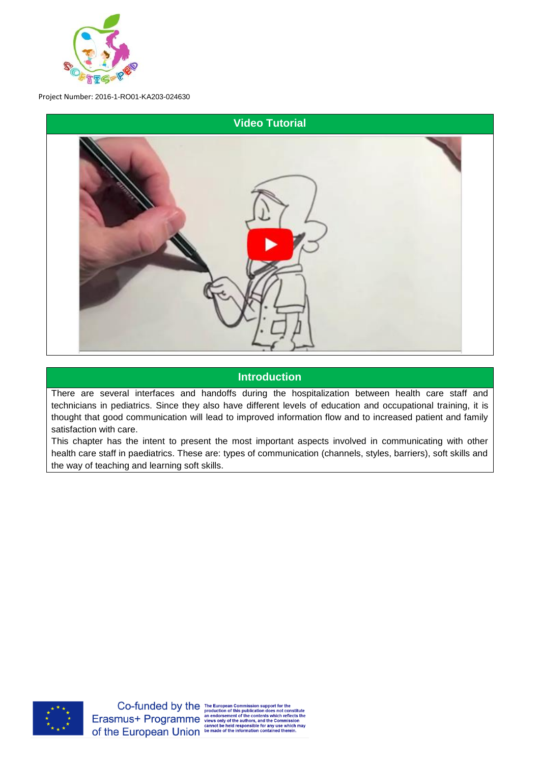



# **Introduction**

There are several interfaces and handoffs during the hospitalization between health care staff and technicians in pediatrics. Since they also have different levels of education and occupational training, it is thought that good communication will lead to improved information flow and to increased patient and family satisfaction with care.

This chapter has the intent to present the most important aspects involved in communicating with other health care staff in paediatrics. These are: types of communication (channels, styles, barriers), soft skills and the way of teaching and learning soft skills.

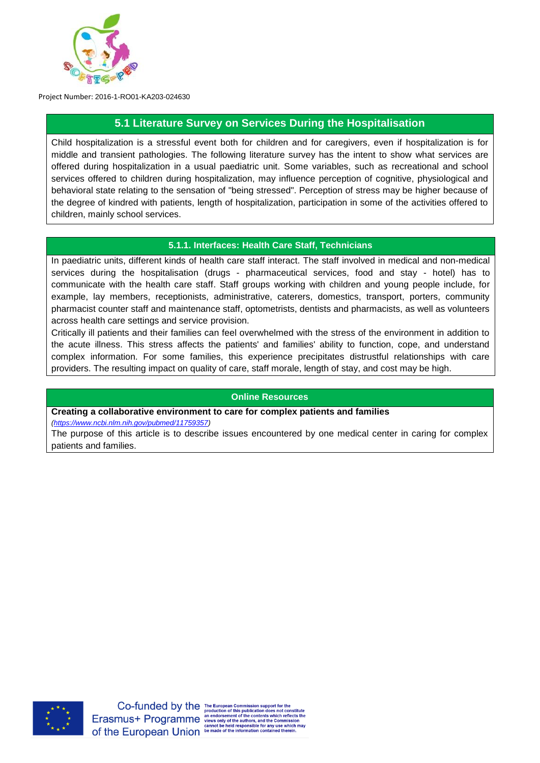

# **5.1 Literature Survey on Services During the Hospitalisation**

Child hospitalization is a stressful event both for children and for caregivers, even if hospitalization is for middle and transient pathologies. The following literature survey has the intent to show what services are offered during hospitalization in a usual paediatric unit. Some variables, such as recreational and school services offered to children during hospitalization, may influence perception of cognitive, physiological and behavioral state relating to the sensation of "being stressed". Perception of stress may be higher because of the degree of kindred with patients, length of hospitalization, participation in some of the activities offered to children, mainly school services.

#### **5.1.1. Interfaces: Health Care Staff, Technicians**

In paediatric units, different kinds of health care staff interact. The staff involved in medical and non-medical services during the hospitalisation (drugs - pharmaceutical services, food and stay - hotel) has to communicate with the health care staff. Staff groups working with children and young people include, for example, lay members, receptionists, administrative, caterers, domestics, transport, porters, community pharmacist counter staff and maintenance staff, optometrists, dentists and pharmacists, as well as volunteers across health care settings and service provision.

Critically ill patients and their families can feel overwhelmed with the stress of the environment in addition to the acute illness. This stress affects the patients' and families' ability to function, cope, and understand complex information. For some families, this experience precipitates distrustful relationships with care providers. The resulting impact on quality of care, staff morale, length of stay, and cost may be high.

#### **Online Resources**

**Creating a collaborative environment to care for complex patients and families**

*[\(https://www.ncbi.nlm.nih.gov/pubmed/11759357\)](https://www.ncbi.nlm.nih.gov/pubmed/11759357)*

The purpose of this article is to describe issues encountered by one medical center in caring for complex patients and families.

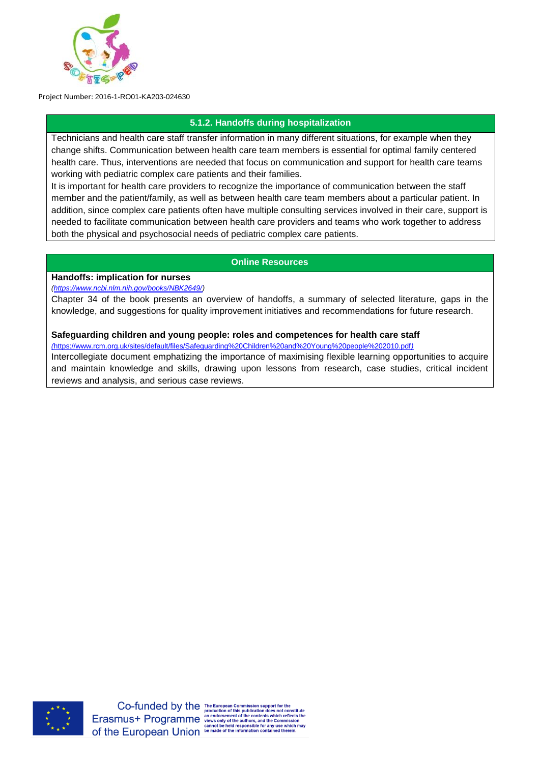

# **5.1.2. Handoffs during hospitalization**

Technicians and health care staff transfer information in many different situations, for example when they change shifts. Communication between health care team members is essential for optimal family centered health care. Thus, interventions are needed that focus on communication and support for health care teams working with pediatric complex care patients and their families.

It is important for health care providers to recognize the importance of communication between the staff member and the patient/family, as well as between health care team members about a particular patient. In addition, since complex care patients often have multiple consulting services involved in their care, support is needed to facilitate communication between health care providers and teams who work together to address both the physical and psychosocial needs of pediatric complex care patients.

## **Online Resources**

## **Handoffs: implication for nurses**

*[\(https://www.ncbi.nlm.nih.gov/books/NBK2649/\)](https://www.ncbi.nlm.nih.gov/books/NBK2649/)*

Chapter 34 of the book presents an overview of handoffs, a summary of selected literature, gaps in the knowledge, and suggestions for quality improvement initiatives and recommendations for future research.

#### **Safeguarding children and young people: roles and competences for health care staff**

*(*<https://www.rcm.org.uk/sites/default/files/Safeguarding%20Children%20and%20Young%20people%202010.pdf>*)* Intercollegiate document emphatizing the importance of maximising flexible learning opportunities to acquire and maintain knowledge and skills, drawing upon lessons from research, case studies, critical incident reviews and analysis, and serious case reviews.

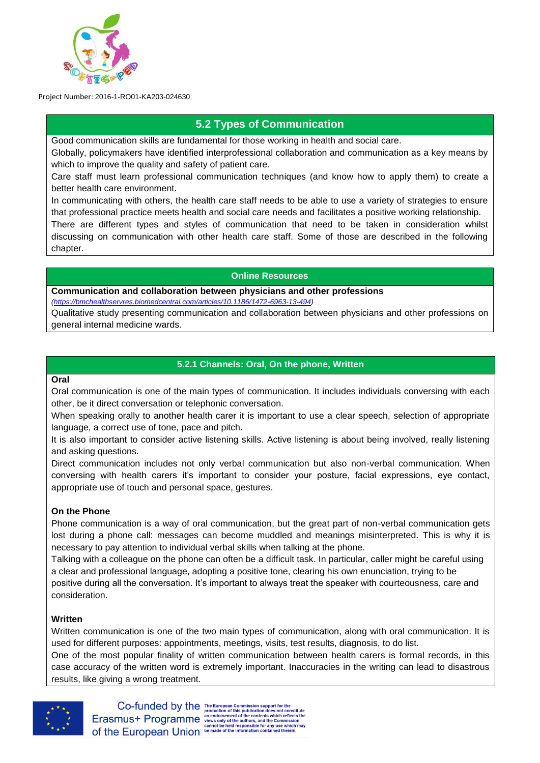

# **5.2 Types of Communication**

Good communication skills are fundamental for those working in health and social care.

Globally, policymakers have identified interprofessional collaboration and communication as a key means by which to improve the quality and safety of patient care.

Care staff must learn professional communication techniques (and know how to apply them) to create a better health care environment.

In communicating with others, the health care staff needs to be able to use a variety of strategies to ensure that professional practice meets health and social care needs and facilitates a positive working relationship.

There are different types and styles of communication that need to be taken in consideration whilst discussing on communication with other health care staff. Some of those are described in the following chapter.

#### **Online Resources**

**Communication and collaboration between physicians and other professions** 

*[\(https://bmchealthservres.biomedcentral.com/articles/10.1186/1472-6963-13-494\)](https://bmchealthservres.biomedcentral.com/articles/10.1186/1472-6963-13-494)*

Qualitative study presenting communication and collaboration between physicians and other professions on general internal medicine wards.

## **5.2.1 Channels: Oral, On the phone, Written**

#### **Oral**

Oral communication is one of the main types of communication. It includes individuals conversing with each other, be it direct conversation or telephonic conversation.

When speaking orally to another health carer it is important to use a clear speech, selection of appropriate language, a correct use of tone, pace and pitch.

It is also important to consider active listening skills. Active listening is about being involved, really listening and asking questions.

Direct communication includes not only verbal communication but also non-verbal communication. When conversing with health carers it's important to consider your posture, facial expressions, eye contact, appropriate use of touch and personal space, gestures.

#### **On the Phone**

Phone communication is a way of oral communication, but the great part of non-verbal communication gets lost during a phone call: messages can become muddled and meanings misinterpreted. This is why it is necessary to pay attention to individual verbal skills when talking at the phone.

Talking with a colleague on the phone can often be a difficult task. In particular, caller might be careful using a clear and professional language, adopting a positive tone, clearing his own enunciation, trying to be positive during all the conversation. It's important to always treat the speaker with courteousness, care and consideration.

#### **Written**

Written communication is one of the two main types of communication, along with oral communication. It is used for different purposes: appointments, meetings, visits, test results, diagnosis, to do list.

One of the most popular finality of written communication between health carers is formal records, in this case accuracy of the written word is extremely important. Inaccuracies in the writing can lead to disastrous results, like giving a wrong treatment.



Co-funded by the The European Commission support for the<br>
Erasmus + Programme an endorsement of this publication does not constitute<br>
Erasmus + Programme views only of the authors, and the Commission<br>
cannot be held reacon CLASITIUST Programmer views only of the authors, and the Commission<br>Of the European Union be held responsible for any use which may<br>of the European Union be made of the information contained therein.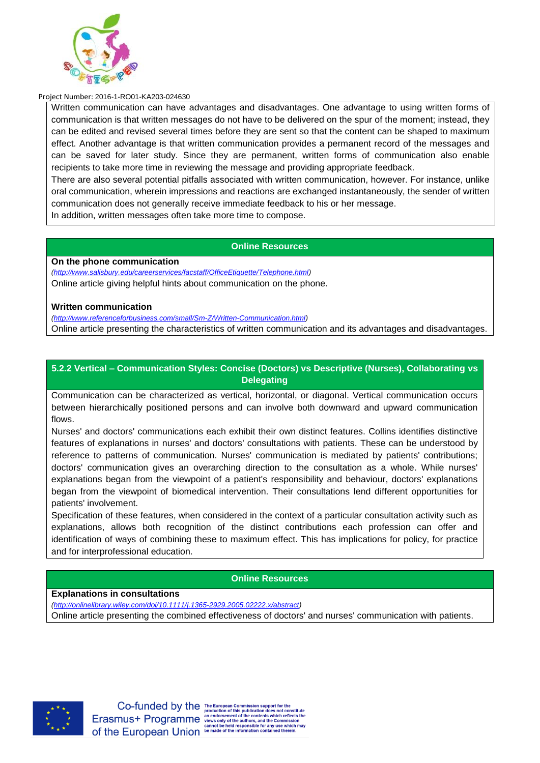

Written communication can have advantages and disadvantages. One advantage to using written forms of communication is that written messages do not have to be delivered on the spur of the moment; instead, they can be edited and revised several times before they are sent so that the content can be shaped to maximum effect. Another advantage is that written communication provides a permanent record of the messages and can be saved for later study. Since they are permanent, written forms of communication also enable recipients to take more time in reviewing the message and providing appropriate feedback.

There are also several potential pitfalls associated with written communication, however. For instance, unlike oral communication, wherein impressions and reactions are exchanged instantaneously, the sender of written communication does not generally receive immediate feedback to his or her message.

In addition, written messages often take more time to compose.

## **Online Resources**

**On the phone communication**

*[\(http://www.salisbury.edu/careerservices/facstaff/OfficeEtiquette/Telephone.html\)](http://www.salisbury.edu/careerservices/facstaff/OfficeEtiquette/Telephone.html)* Online article giving helpful hints about communication on the phone.

#### **Written communication**

*[\(http://www.referenceforbusiness.com/small/Sm-Z/Written-Communication.html\)](http://www.referenceforbusiness.com/small/Sm-Z/Written-Communication.html)*

Online article presenting the characteristics of written communication and its advantages and disadvantages.

## **5.2.2 Vertical – Communication Styles: Concise (Doctors) vs Descriptive (Nurses), Collaborating vs Delegating**

Communication can be characterized as vertical, horizontal, or diagonal. Vertical communication occurs between hierarchically positioned persons and can involve both downward and upward communication flows.

Nurses' and doctors' communications each exhibit their own distinct features. Collins identifies distinctive features of explanations in nurses' and doctors' consultations with patients. These can be understood by reference to patterns of communication. Nurses' communication is mediated by patients' contributions; doctors' communication gives an overarching direction to the consultation as a whole. While nurses' explanations began from the viewpoint of a patient's responsibility and behaviour, doctors' explanations began from the viewpoint of biomedical intervention. Their consultations lend different opportunities for patients' involvement.

Specification of these features, when considered in the context of a particular consultation activity such as explanations, allows both recognition of the distinct contributions each profession can offer and identification of ways of combining these to maximum effect. This has implications for policy, for practice and for interprofessional education.

#### **Online Resources**

#### **Explanations in consultations**

*[\(http://onlinelibrary.wiley.com/doi/10.1111/j.1365-2929.2005.02222.x/abstract\)](http://onlinelibrary.wiley.com/doi/10.1111/j.1365-2929.2005.02222.x/abstract)* Online article presenting the combined effectiveness of doctors' and nurses' communication with patients.



hich reflects the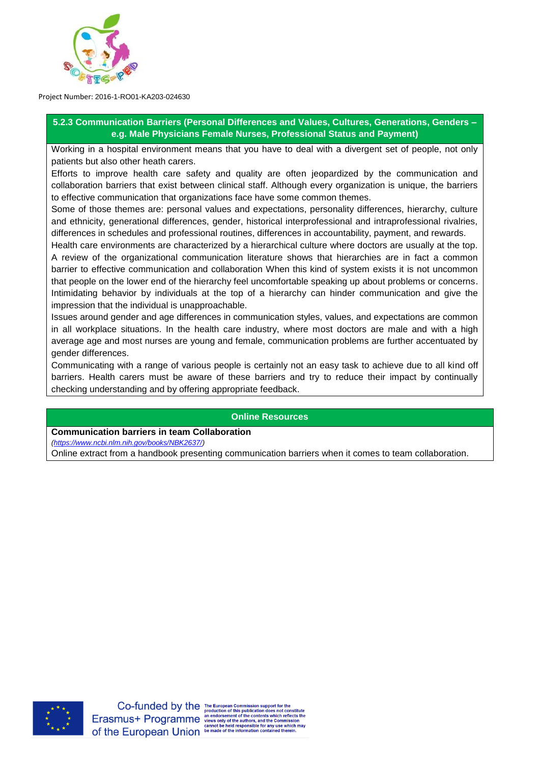

**5.2.3 Communication Barriers (Personal Differences and Values, Cultures, Generations, Genders – e.g. Male Physicians Female Nurses, Professional Status and Payment)**

Working in a hospital environment means that you have to deal with a divergent set of people, not only patients but also other heath carers.

Efforts to improve health care safety and quality are often jeopardized by the communication and collaboration barriers that exist between clinical staff. Although every organization is unique, the barriers to effective communication that organizations face have some common themes.

Some of those themes are: personal values and expectations, personality differences, hierarchy, culture and ethnicity, generational differences, gender, historical interprofessional and intraprofessional rivalries, differences in schedules and professional routines, differences in accountability, payment, and rewards.

Health care environments are characterized by a hierarchical culture where doctors are usually at the top. A review of the organizational communication literature shows that hierarchies are in fact a common barrier to effective communication and collaboration When this kind of system exists it is not uncommon that people on the lower end of the hierarchy feel uncomfortable speaking up about problems or concerns. Intimidating behavior by individuals at the top of a hierarchy can hinder communication and give the impression that the individual is unapproachable.

Issues around gender and age differences in communication styles, values, and expectations are common in all workplace situations. In the health care industry, where most doctors are male and with a high average age and most nurses are young and female, communication problems are further accentuated by gender differences.

Communicating with a range of various people is certainly not an easy task to achieve due to all kind off barriers. Health carers must be aware of these barriers and try to reduce their impact by continually checking understanding and by offering appropriate feedback.

#### **Online Resources**

#### **Communication barriers in team Collaboration**

*[\(https://www.ncbi.nlm.nih.gov/books/NBK2637/\)](https://www.ncbi.nlm.nih.gov/books/NBK2637/)*

Online extract from a handbook presenting communication barriers when it comes to team collaboration.



ich reflects the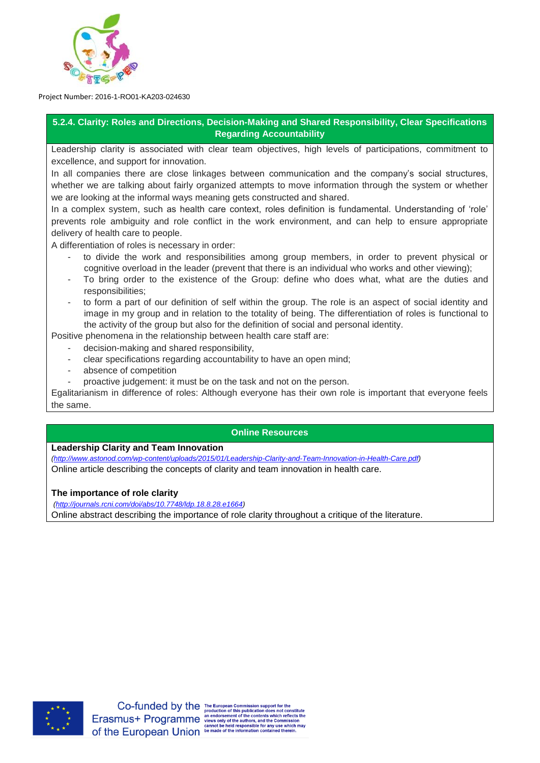

## **5.2.4. Clarity: Roles and Directions, Decision-Making and Shared Responsibility, Clear Specifications Regarding Accountability**

Leadership clarity is associated with clear team objectives, high levels of participations, commitment to excellence, and support for innovation.

In all companies there are close linkages between communication and the company's social structures, whether we are talking about fairly organized attempts to move information through the system or whether we are looking at the informal ways meaning gets constructed and shared.

In a complex system, such as health care context, roles definition is fundamental. Understanding of 'role' prevents role ambiguity and role conflict in the work environment, and can help to ensure appropriate delivery of health care to people.

A differentiation of roles is necessary in order:

- to divide the work and responsibilities among group members, in order to prevent physical or cognitive overload in the leader (prevent that there is an individual who works and other viewing);
- To bring order to the existence of the Group: define who does what, what are the duties and responsibilities;
- to form a part of our definition of self within the group. The role is an aspect of social identity and image in my group and in relation to the totality of being. The differentiation of roles is functional to the activity of the group but also for the definition of social and personal identity.

Positive phenomena in the relationship between health care staff are:

- decision-making and shared responsibility,
- clear specifications regarding accountability to have an open mind;
- absence of competition
- proactive judgement: it must be on the task and not on the person.

Egalitarianism in difference of roles: Although everyone has their own role is important that everyone feels the same.

#### **Online Resources**

#### **Leadership Clarity and Team Innovation**

*[\(http://www.astonod.com/wp-content/uploads/2015/01/Leadership-Clarity-and-Team-Innovation-in-Health-Care.pdf\)](http://www.astonod.com/wp-content/uploads/2015/01/Leadership-Clarity-and-Team-Innovation-in-Health-Care.pdf)* Online article describing the concepts of clarity and team innovation in health care.

#### **The importance of role clarity**

*[\(http://journals.rcni.com/doi/abs/10.7748/ldp.18.8.28.e1664\)](http://journals.rcni.com/doi/abs/10.7748/ldp.18.8.28.e1664)* Online abstract describing the importance of role clarity throughout a critique of the literature.

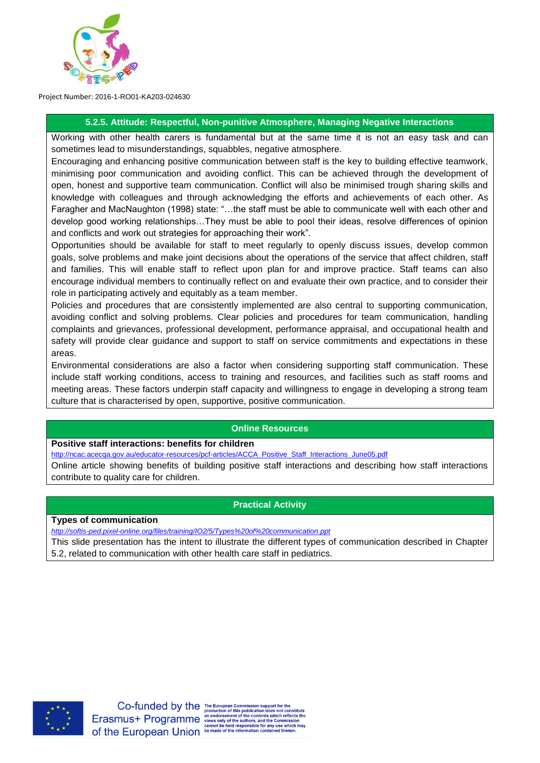

#### **5.2.5. Attitude: Respectful, Non-punitive Atmosphere, Managing Negative Interactions**

Working with other health carers is fundamental but at the same time it is not an easy task and can sometimes lead to misunderstandings, squabbles, negative atmosphere.

Encouraging and enhancing positive communication between staff is the key to building effective teamwork, minimising poor communication and avoiding conflict. This can be achieved through the development of open, honest and supportive team communication. Conflict will also be minimised trough sharing skills and knowledge with colleagues and through acknowledging the efforts and achievements of each other. As Faragher and MacNaughton (1998) state: "…the staff must be able to communicate well with each other and develop good working relationships…They must be able to pool their ideas, resolve differences of opinion and conflicts and work out strategies for approaching their work".

Opportunities should be available for staff to meet regularly to openly discuss issues, develop common goals, solve problems and make joint decisions about the operations of the service that affect children, staff and families. This will enable staff to reflect upon plan for and improve practice. Staff teams can also encourage individual members to continually reflect on and evaluate their own practice, and to consider their role in participating actively and equitably as a team member.

Policies and procedures that are consistently implemented are also central to supporting communication, avoiding conflict and solving problems. Clear policies and procedures for team communication, handling complaints and grievances, professional development, performance appraisal, and occupational health and safety will provide clear guidance and support to staff on service commitments and expectations in these areas.

Environmental considerations are also a factor when considering supporting staff communication. These include staff working conditions, access to training and resources, and facilities such as staff rooms and meeting areas. These factors underpin staff capacity and willingness to engage in developing a strong team culture that is characterised by open, supportive, positive communication.

# **Online Resources**

#### **Positive staff interactions: benefits for children**

[http://ncac.acecqa.gov.au/educator-resources/pcf-articles/ACCA\\_Positive\\_Staff\\_Interactions\\_June05.pdf](http://ncac.acecqa.gov.au/educator-resources/pcf-articles/ACCA_Positive_Staff_Interactions_June05.pdf)

Online article showing benefits of building positive staff interactions and describing how staff interactions contribute to quality care for children.

# **Practical Activity**

**Types of communication**

*<http://softis-ped.pixel-online.org/files/training/IO2/5/Types%20of%20communication.ppt>*

This slide presentation has the intent to illustrate the different types of communication described in Chapter 5.2, related to communication with other health care staff in pediatrics.



ich reflects the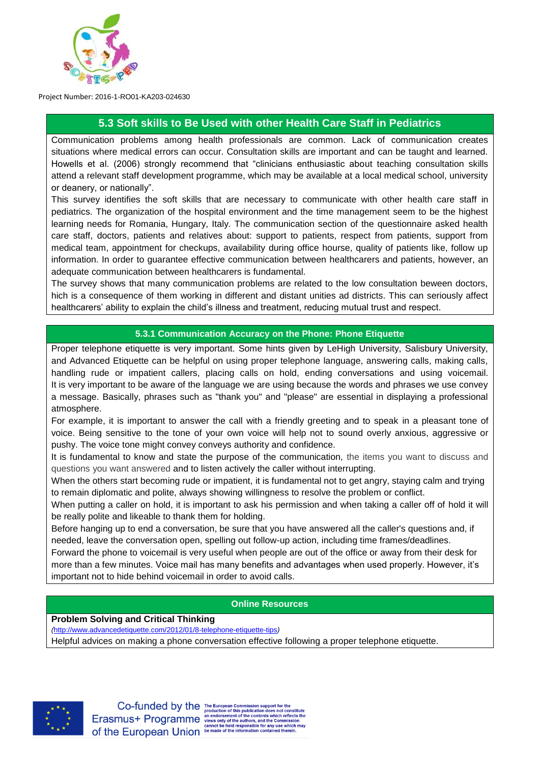

# **5.3 Soft skills to Be Used with other Health Care Staff in Pediatrics**

Communication problems among health professionals are common. Lack of communication creates situations where medical errors can occur. Consultation skills are important and can be taught and learned. Howells et al. (2006) strongly recommend that "clinicians enthusiastic about teaching consultation skills attend a relevant staff development programme, which may be available at a local medical school, university or deanery, or nationally".

This survey identifies the soft skills that are necessary to communicate with other health care staff in pediatrics. The organization of the hospital environment and the time management seem to be the highest learning needs for Romania, Hungary, Italy. The communication section of the questionnaire asked health care staff, doctors, patients and relatives about: support to patients, respect from patients, support from medical team, appointment for checkups, availability during office hourse, quality of patients like, follow up information. In order to guarantee effective communication between healthcarers and patients, however, an adequate communication between healthcarers is fundamental.

The survey shows that many communication problems are related to the low consultation beween doctors, hich is a consequence of them working in different and distant unities ad districts. This can seriously affect healthcarers' ability to explain the child's illness and treatment, reducing mutual trust and respect.

## **5.3.1 Communication Accuracy on the Phone: Phone Etiquette**

Proper telephone etiquette is very important. Some hints given by LeHigh University, Salisbury University, and Advanced Etiquette can be helpful on using proper telephone language, answering calls, making calls, handling rude or impatient callers, placing calls on hold, ending conversations and using voicemail. It is very important to be aware of the language we are using because the words and phrases we use convey a message. Basically, phrases such as "thank you" and "please" are essential in displaying a professional atmosphere.

For example, it is important to answer the call with a friendly greeting and to speak in a pleasant tone of voice. Being sensitive to the tone of your own voice will help not to sound overly anxious, aggressive or pushy. The voice tone might convey conveys authority and confidence.

It is fundamental to know and state the purpose of the communication, the items you want to discuss and questions you want answered and to listen actively the caller without interrupting.

When the others start becoming rude or impatient, it is fundamental not to get angry, staying calm and trying to remain diplomatic and polite, always showing willingness to resolve the problem or conflict.

When putting a caller on hold, it is important to ask his permission and when taking a caller off of hold it will be really polite and likeable to thank them for holding.

Before hanging up to end a conversation, be sure that you have answered all the caller's questions and, if needed, leave the conversation open, spelling out follow-up action, including time frames/deadlines.

Forward the phone to voicemail is very useful when people are out of the office or away from their desk for more than a few minutes. Voice mail has many benefits and advantages when used properly. However, it's important not to hide behind voicemail in order to avoid calls.

#### **Online Resources**

**Problem Solving and Critical Thinking**

*(*<http://www.advancedetiquette.com/2012/01/8-telephone-etiquette-tips>*)*

Helpful advices on making a phone conversation effective following a proper telephone etiquette.



Co-funded by the The European Commission support for the<br>Erasmus+ Programme and orser of this publication does not cons<br>Erasmus+ Programme and orser only of the contents which reflect<br>measury of the authors, and the Commis ich reflects the Character Comparison of the European Union be made of the information contained therein.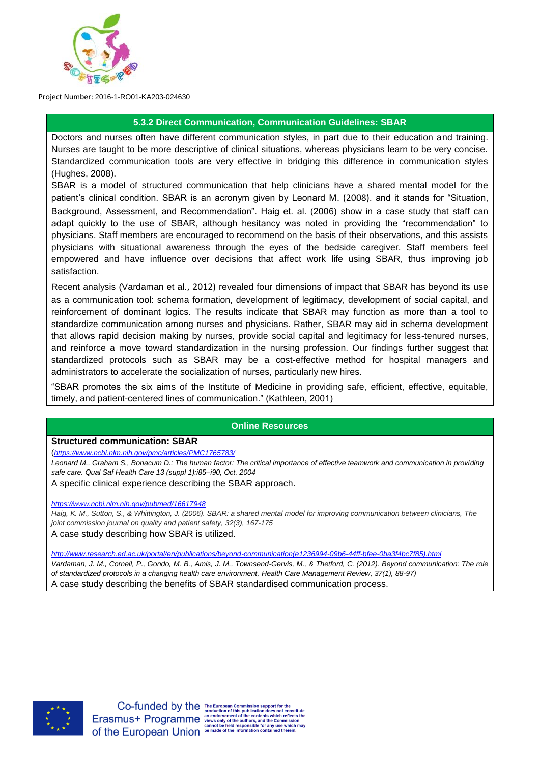

#### **5.3.2 Direct Communication, Communication Guidelines: SBAR**

Doctors and nurses often have different communication styles, in part due to their education and training. Nurses are taught to be more descriptive of clinical situations, whereas physicians learn to be very concise. Standardized communication tools are very effective in bridging this difference in communication styles (Hughes, 2008).

SBAR is a model of structured communication that help clinicians have a shared mental model for the patient's clinical condition. SBAR is an acronym given by Leonard M. (2008). and it stands for "Situation, Background, Assessment, and Recommendation". Haig et. al. (2006) show in a case study that staff can adapt quickly to the use of SBAR, although hesitancy was noted in providing the "recommendation" to physicians. Staff members are encouraged to recommend on the basis of their observations, and this assists physicians with situational awareness through the eyes of the bedside caregiver. Staff members feel empowered and have influence over decisions that affect work life using SBAR, thus improving job satisfaction.

Recent analysis (Vardaman et al., 2012) revealed four dimensions of impact that SBAR has beyond its use as a communication tool: schema formation, development of legitimacy, development of social capital, and reinforcement of dominant logics. The results indicate that SBAR may function as more than a tool to standardize communication among nurses and physicians. Rather, SBAR may aid in schema development that allows rapid decision making by nurses, provide social capital and legitimacy for less-tenured nurses, and reinforce a move toward standardization in the nursing profession. Our findings further suggest that standardized protocols such as SBAR may be a cost-effective method for hospital managers and administrators to accelerate the socialization of nurses, particularly new hires.

"SBAR promotes the six aims of the Institute of Medicine in providing safe, efficient, effective, equitable, timely, and patient-centered lines of communication." (Kathleen, 2001)

#### **Online Resources**

#### **Structured communication: SBAR**

(*<https://www.ncbi.nlm.nih.gov/pmc/articles/PMC1765783/>*

*Leonard M., Graham S., Bonacum D.: The human factor: The critical importance of effective teamwork and communication in providing safe care. Qual Saf Health Care 13 (suppl 1):i85–i90, Oct. 2004*

A specific clinical experience describing the SBAR approach.

*<https://www.ncbi.nlm.nih.gov/pubmed/16617948>*

*Haig, K. M., Sutton, S., & Whittington, J. (2006). SBAR: a shared mental model for improving communication between clinicians, The joint commission journal on quality and patient safety, 32(3), 167-175*

A case study describing how SBAR is utilized.

*[http://www.research.ed.ac.uk/portal/en/publications/beyond-communication\(e1236994-09b6-44ff-bfee-0ba3f4bc7f85\).html](http://www.research.ed.ac.uk/portal/en/publications/beyond-communication(e1236994-09b6-44ff-bfee-0ba3f4bc7f85).html)*

*Vardaman, J. M., Cornell, P., Gondo, M. B., Amis, J. M., Townsend-Gervis, M., & Thetford, C. (2012). Beyond communication: The role of standardized protocols in a changing health care environment, Health Care Management Review, 37(1), 88-97)* A case study describing the benefits of SBAR standardised communication process.

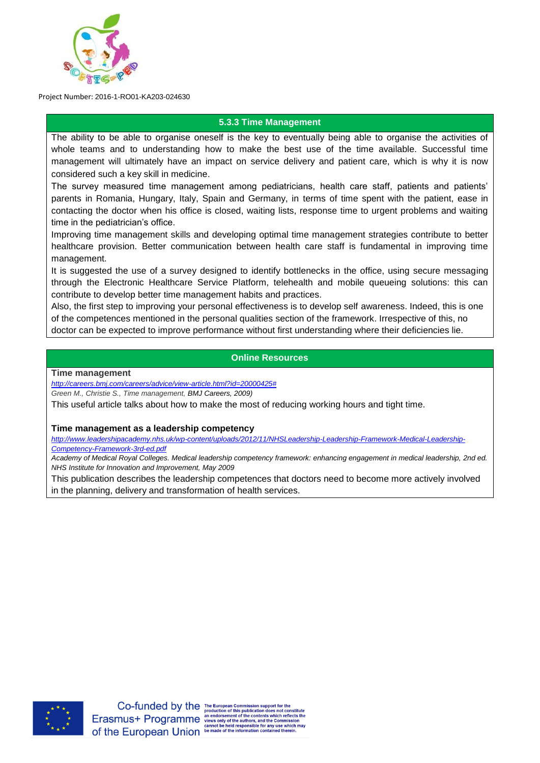

#### **5.3.3 Time Management**

The ability to be able to organise oneself is the key to eventually being able to organise the activities of whole teams and to understanding how to make the best use of the time available. Successful time management will ultimately have an impact on service delivery and patient care, which is why it is now considered such a key skill in medicine.

The survey measured time management among pediatricians, health care staff, patients and patients' parents in Romania, Hungary, Italy, Spain and Germany, in terms of time spent with the patient, ease in contacting the doctor when his office is closed, waiting lists, response time to urgent problems and waiting time in the pediatrician's office.

Improving time management skills and developing optimal time management strategies contribute to better healthcare provision. Better communication between health care staff is fundamental in improving time management.

It is suggested the use of a survey designed to identify bottlenecks in the office, using secure messaging through the Electronic Healthcare Service Platform, telehealth and mobile queueing solutions: this can contribute to develop better time management habits and practices.

Also, the first step to improving your personal effectiveness is to develop self awareness. Indeed, this is one of the competences mentioned in the personal qualities section of the framework. Irrespective of this, no doctor can be expected to improve performance without first understanding where their deficiencies lie.

## **Online Resources**

#### **Time management**

*[http://careers.bmj.com/careers/advice/view-article.html?id=20000425#](http://careers.bmj.com/careers/advice/view-article.html?id=20000425)*

*Green M., Christie S., Time management, BMJ Careers, 2009)*

This useful article talks about how to make the most of reducing working hours and tight time.

#### **Time management as a leadership competency**

*[http://www.leadershipacademy.nhs.uk/wp-content/uploads/2012/11/NHSLeadership-Leadership-Framework-Medical-Leadership-](http://www.leadershipacademy.nhs.uk/wp-content/uploads/2012/11/NHSLeadership-Leadership-Framework-Medical-Leadership-Competency-Framework-3rd-ed.pdf)[Competency-Framework-3rd-ed.pdf](http://www.leadershipacademy.nhs.uk/wp-content/uploads/2012/11/NHSLeadership-Leadership-Framework-Medical-Leadership-Competency-Framework-3rd-ed.pdf)*

*Academy of Medical Royal Colleges. Medical leadership competency framework: enhancing engagement in medical leadership, 2nd ed. NHS Institute for Innovation and Improvement, May 2009*

This publication describes the leadership competences that doctors need to become more actively involved in the planning, delivery and transformation of health services.

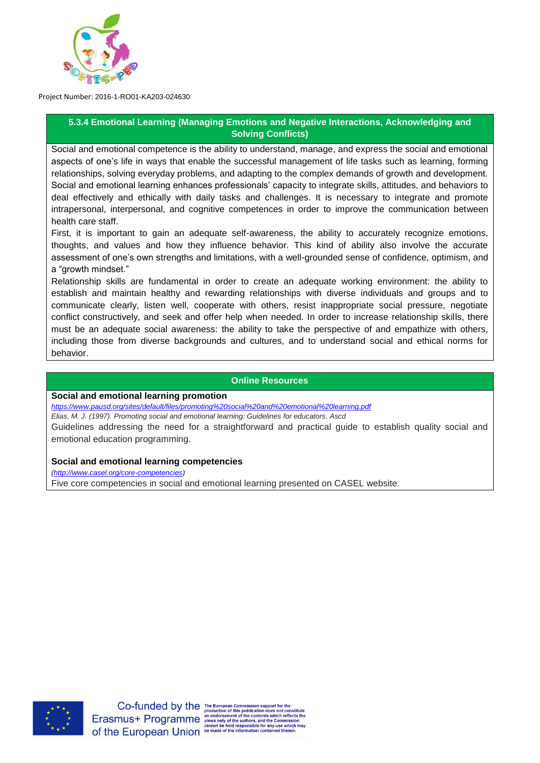

# **5.3.4 Emotional Learning (Managing Emotions and Negative Interactions, Acknowledging and Solving Conflicts)**

Social and emotional competence is the ability to understand, manage, and express the social and emotional aspects of one's life in ways that enable the successful management of life tasks such as learning, forming relationships, solving everyday problems, and adapting to the complex demands of growth and development. Social and emotional learning enhances professionals' capacity to integrate skills, attitudes, and behaviors to deal effectively and ethically with daily tasks and challenges. It is necessary to integrate and promote intrapersonal, interpersonal, and cognitive competences in order to improve the communication between health care staff.

First, it is important to gain an adequate self-awareness, the ability to accurately recognize emotions, thoughts, and values and how they influence behavior. This kind of ability also involve the accurate assessment of one's own strengths and limitations, with a well-grounded sense of confidence, optimism, and a "growth mindset."

Relationship skills are fundamental in order to create an adequate working environment: the ability to establish and maintain healthy and rewarding relationships with diverse individuals and groups and to communicate clearly, listen well, cooperate with others, resist inappropriate social pressure, negotiate conflict constructively, and seek and offer help when needed. In order to increase relationship skills, there must be an adequate social awareness: the ability to take the perspective of and empathize with others, including those from diverse backgrounds and cultures, and to understand social and ethical norms for behavior.

#### **Online Resources**

#### **Social and emotional learning promotion**

*<https://www.pausd.org/sites/default/files/promoting%20social%20and%20emotional%20learning.pdf>*

*Elias, M. J. (1997). Promoting social and emotional learning: Guidelines for educators. Ascd*

Guidelines addressing the need for a straightforward and practical guide to establish quality social and emotional education programming.

#### **Social and emotional learning competencies**

*[\(http://www.casel.org/core-competencies\)](http://www.casel.org/core-competencies)*

Five core competencies in social and emotional learning presented on CASEL website.

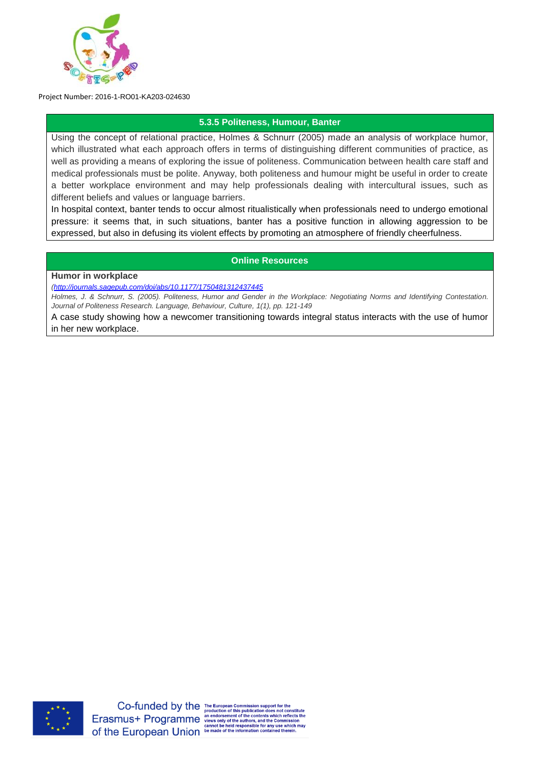

## **5.3.5 Politeness, Humour, Banter**

Using the concept of relational practice, Holmes & Schnurr (2005) made an analysis of workplace humor, which illustrated what each approach offers in terms of distinguishing different communities of practice, as well as providing a means of exploring the issue of politeness. Communication between health care staff and medical professionals must be polite. Anyway, both politeness and humour might be useful in order to create a better workplace environment and may help professionals dealing with intercultural issues, such as different beliefs and values or language barriers.

In hospital context, banter tends to occur almost ritualistically when professionals need to undergo emotional pressure: it seems that, in such situations, banter has a positive function in allowing aggression to be expressed, but also in defusing its violent effects by promoting an atmosphere of friendly cheerfulness.

#### **Online Resources**

#### **Humor in workplace**

*[\(http://journals.sagepub.com/doi/abs/10.1177/1750481312437445](http://journals.sagepub.com/doi/abs/10.1177/1750481312437445)*

*Holmes, J. & Schnurr, S. (2005). Politeness, Humor and Gender in the Workplace: Negotiating Norms and Identifying Contestation. Journal of Politeness Research. Language, Behaviour, Culture, 1(1), pp. 121-149*

A case study showing how a newcomer transitioning towards integral status interacts with the use of humor in her new workplace.

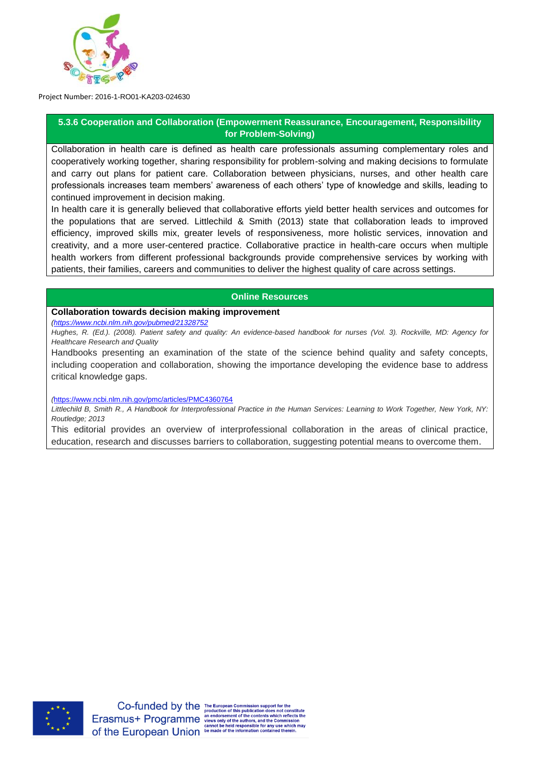

## **5.3.6 Cooperation and Collaboration (Empowerment Reassurance, Encouragement, Responsibility for Problem-Solving)**

Collaboration in health care is defined as health care professionals assuming complementary roles and cooperatively working together, sharing responsibility for problem-solving and making decisions to formulate and carry out plans for patient care. Collaboration between physicians, nurses, and other health care professionals increases team members' awareness of each others' type of knowledge and skills, leading to continued improvement in decision making.

In health care it is generally believed that collaborative efforts yield better health services and outcomes for the populations that are served. Littlechild & Smith (2013) state that collaboration leads to improved efficiency, improved skills mix, greater levels of responsiveness, more holistic services, innovation and creativity, and a more user-centered practice. Collaborative practice in health-care occurs when multiple health workers from different professional backgrounds provide comprehensive services by working with patients, their families, careers and communities to deliver the highest quality of care across settings.

#### **Online Resources**

#### **Collaboration towards decision making improvement**

*[\(https://www.ncbi.nlm.nih.gov/pubmed/21328752](https://www.ncbi.nlm.nih.gov/pubmed/21328752)*

*Hughes, R. (Ed.). (2008). Patient safety and quality: An evidence-based handbook for nurses (Vol. 3). Rockville, MD: Agency for Healthcare Research and Quality*

Handbooks presenting an examination of the state of the science behind quality and safety concepts, including cooperation and collaboration, showing the importance developing the evidence base to address critical knowledge gaps.

#### *(*<https://www.ncbi.nlm.nih.gov/pmc/articles/PMC4360764>

*Littlechild B, Smith R., A Handbook for Interprofessional Practice in the Human Services: Learning to Work Together, New York, NY: Routledge; 2013*

This editorial provides an overview of interprofessional collaboration in the areas of clinical practice, education, research and discusses barriers to collaboration, suggesting potential means to overcome them.

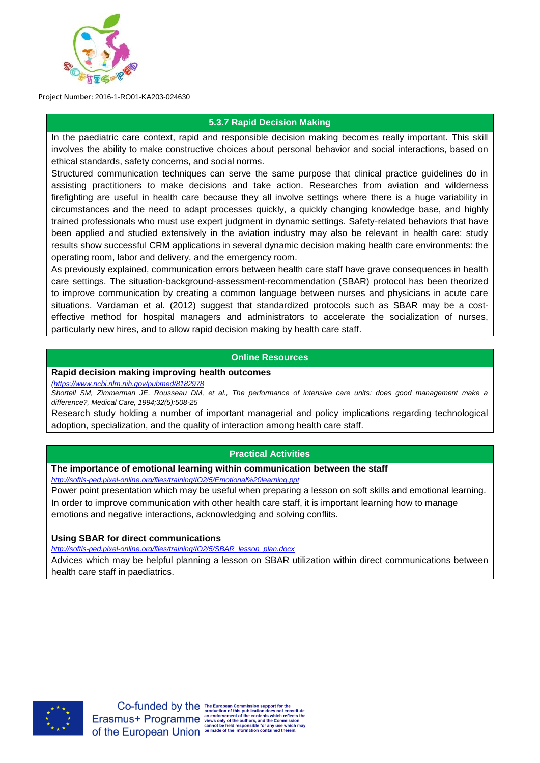

# **5.3.7 Rapid Decision Making**

In the paediatric care context, rapid and responsible decision making becomes really important. This skill involves the ability to make constructive choices about personal behavior and social interactions, based on ethical standards, safety concerns, and social norms.

Structured communication techniques can serve the same purpose that clinical practice guidelines do in assisting practitioners to make decisions and take action. Researches from aviation and wilderness firefighting are useful in health care because they all involve settings where there is a huge variability in circumstances and the need to adapt processes quickly, a quickly changing knowledge base, and highly trained professionals who must use expert judgment in dynamic settings. Safety-related behaviors that have been applied and studied extensively in the aviation industry may also be relevant in health care: study results show successful CRM applications in several dynamic decision making health care environments: the operating room, labor and delivery, and the emergency room.

As previously explained, communication errors between health care staff have grave consequences in health care settings. The situation-background-assessment-recommendation (SBAR) protocol has been theorized to improve communication by creating a common language between nurses and physicians in acute care situations. Vardaman et al. (2012) suggest that standardized protocols such as SBAR may be a costeffective method for hospital managers and administrators to accelerate the socialization of nurses, particularly new hires, and to allow rapid decision making by health care staff.

## **Online Resources**

#### **Rapid decision making improving health outcomes**

*[\(https://www.ncbi.nlm.nih.gov/pubmed/8182978](https://www.ncbi.nlm.nih.gov/pubmed/8182978)*

*Shortell SM, Zimmerman JE, Rousseau DM, et al., The performance of intensive care units: does good management make a difference?, Medical Care, 1994;32(5):508-25*

Research study holding a number of important managerial and policy implications regarding technological adoption, specialization, and the quality of interaction among health care staff.

#### **Practical Activities**

#### **The importance of emotional learning within communication between the staff**

*<http://softis-ped.pixel-online.org/files/training/IO2/5/Emotional%20learning.ppt>*

Power point presentation which may be useful when preparing a lesson on soft skills and emotional learning. In order to improve communication with other health care staff, it is important learning how to manage emotions and negative interactions, acknowledging and solving conflits.

#### **Using SBAR for direct communications**

*[http://softis-ped.pixel-online.org/files/training/IO2/5/SBAR\\_lesson\\_plan.docx](http://softis-ped.pixel-online.org/files/training/IO2/5/SBAR_lesson_plan.docx)*

Advices which may be helpful planning a lesson on SBAR utilization within direct communications between health care staff in paediatrics.

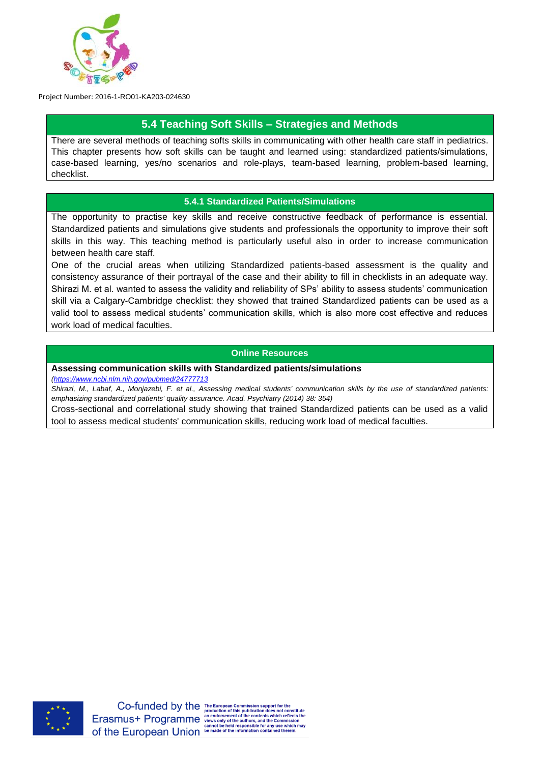

# **5.4 Teaching Soft Skills – Strategies and Methods**

There are several methods of teaching softs skills in communicating with other health care staff in pediatrics. This chapter presents how soft skills can be taught and learned using: standardized patients/simulations, case-based learning, yes/no scenarios and role-plays, team-based learning, problem-based learning, checklist.

#### **5.4.1 Standardized Patients/Simulations**

The opportunity to practise key skills and receive constructive feedback of performance is essential. Standardized patients and simulations give students and professionals the opportunity to improve their soft skills in this way. This teaching method is particularly useful also in order to increase communication between health care staff.

One of the crucial areas when utilizing Standardized patients-based assessment is the quality and consistency assurance of their portrayal of the case and their ability to fill in checklists in an adequate way. Shirazi M. et al. wanted to assess the validity and reliability of SPs' ability to assess students' communication skill via a Calgary-Cambridge checklist: they showed that trained Standardized patients can be used as a valid tool to assess medical students' communication skills, which is also more cost effective and reduces work load of medical faculties.

#### **Online Resources**

**Assessing communication skills with Standardized patients/simulations**

*[\(https://www.ncbi.nlm.nih.gov/pubmed/24777713](https://www.ncbi.nlm.nih.gov/pubmed/24777713)*

*Shirazi, M., Labaf, A., Monjazebi, F. et al., Assessing medical students' communication skills by the use of standardized patients: emphasizing standardized patients' quality assurance. Acad. Psychiatry (2014) 38: 354)*

Cross-sectional and correlational study showing that trained Standardized patients can be used as a valid tool to assess medical students' communication skills, reducing work load of medical faculties.



Co-funded by the The European Commission support for the<br>Erasmus+ Programme and order of this publication does not constitute<br>Erasmus+ Programme and order of the contents which reflects the<br>school of the authors, and the C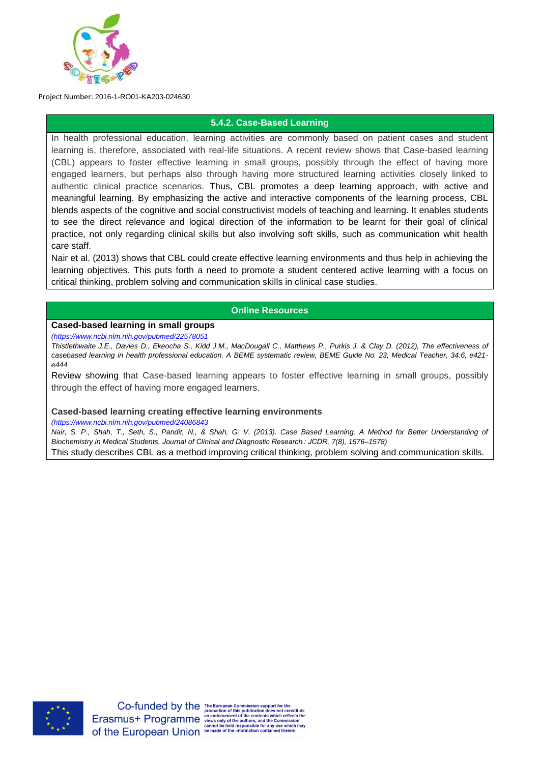

#### **5.4.2. Case-Based Learning**

In health professional education, learning activities are commonly based on patient cases and student learning is, therefore, associated with real-life situations. A recent review shows that Case-based learning (CBL) appears to foster effective learning in small groups, possibly through the effect of having more engaged learners, but perhaps also through having more structured learning activities closely linked to authentic clinical practice scenarios. Thus, CBL promotes a deep learning approach, with active and meaningful learning. By emphasizing the active and interactive components of the learning process, CBL blends aspects of the cognitive and social constructivist models of teaching and learning. It enables students to see the direct relevance and logical direction of the information to be learnt for their goal of clinical practice, not only regarding clinical skills but also involving soft skills, such as communication whit health care staff.

Nair et al. (2013) shows that CBL could create effective learning environments and thus help in achieving the learning objectives. This puts forth a need to promote a student centered active learning with a focus on critical thinking, problem solving and communication skills in clinical case studies.

#### **Online Resources**

## **Cased-based learning in small groups**

*[\(https://www.ncbi.nlm.nih.gov/pubmed/22578051](https://www.ncbi.nlm.nih.gov/pubmed/22578051)*

*Thistlethwaite J.E., Davies D., Ekeocha S., Kidd J.M., MacDougall C., Matthews P., Purkis J. & Clay D. (2012), The effectiveness of casebased learning in health professional education. A BEME systematic review, BEME Guide No. 23, Medical Teacher, 34:6, e421 e444*

Review showing that Case-based learning appears to foster effective learning in small groups, possibly through the effect of having more engaged learners.

#### **Cased-based learning creating effective learning environments**

*[\(https://www.ncbi.nlm.nih.gov/pubmed/24086843](https://www.ncbi.nlm.nih.gov/pubmed/24086843)*

*Nair, S. P., Shah, T., Seth, S., Pandit, N., & Shah, G. V. (2013). Case Based Learning: A Method for Better Understanding of Biochemistry in Medical Students, Journal of Clinical and Diagnostic Research : JCDR, 7(8), 1576–1578)*

This study describes CBL as a method improving critical thinking, problem solving and communication skills.

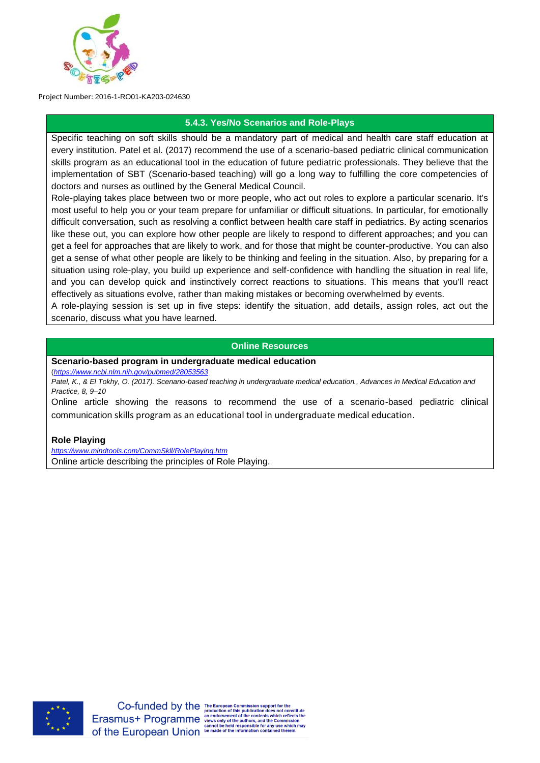

# **5.4.3. Yes/No Scenarios and Role-Plays**

Specific teaching on soft skills should be a mandatory part of medical and health care staff education at every institution. Patel et al. (2017) recommend the use of a scenario-based pediatric clinical communication skills program as an educational tool in the education of future pediatric professionals. They believe that the implementation of SBT (Scenario-based teaching) will go a long way to fulfilling the core competencies of doctors and nurses as outlined by the General Medical Council.

Role-playing takes place between two or more people, who act out roles to explore a particular scenario. It's most useful to help you or your team prepare for unfamiliar or difficult situations. In particular, for emotionally difficult conversation, such as resolving a conflict between health care staff in pediatrics. By acting scenarios like these out, you can explore how other people are likely to respond to different approaches; and you can get a feel for approaches that are likely to work, and for those that might be counter-productive. You can also get a sense of what other people are likely to be thinking and feeling in the situation. Also, by preparing for a situation using role-play, you build up experience and self-confidence with handling the situation in real life, and you can develop quick and instinctively correct reactions to situations. This means that you'll react effectively as situations evolve, rather than making mistakes or becoming overwhelmed by events.

A role-playing session is set up in five steps: identify the situation, add details, assign roles, act out the scenario, discuss what you have learned.

#### **Online Resources**

**Scenario-based program in undergraduate medical education**

(*<https://www.ncbi.nlm.nih.gov/pubmed/28053563>*

*Patel, K., & El Tokhy, O. (2017). Scenario-based teaching in undergraduate medical education., Advances in Medical Education and Practice, 8, 9–10*

Online article showing the reasons to recommend the use of a scenario-based pediatric clinical communication skills program as an educational tool in undergraduate medical education.

#### **Role Playing**

*<https://www.mindtools.com/CommSkll/RolePlaying.htm>* Online article describing the principles of Role Playing.

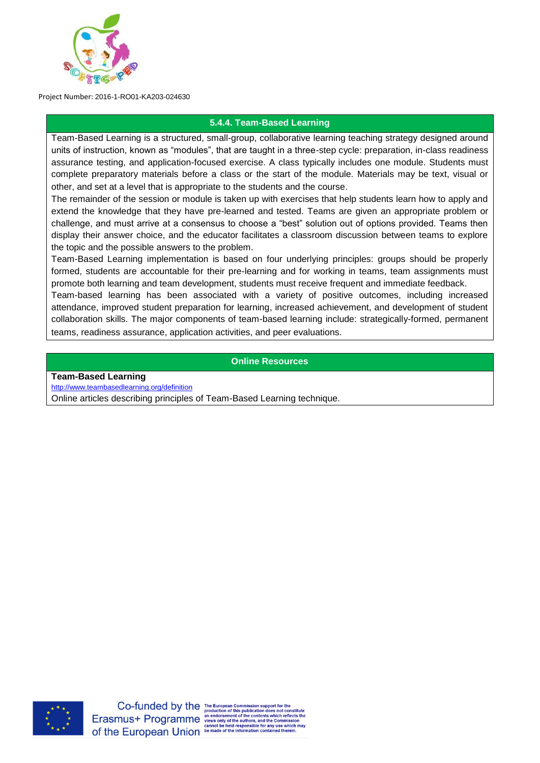

#### **5.4.4. Team-Based Learning**

Team-Based Learning is a structured, small-group, collaborative learning teaching strategy designed around units of instruction, known as "modules", that are taught in a three-step cycle: preparation, in-class readiness assurance testing, and application-focused exercise. A class typically includes one module. Students must complete preparatory materials before a class or the start of the module. Materials may be text, visual or other, and set at a level that is appropriate to the students and the course.

The remainder of the session or module is taken up with exercises that help students learn how to apply and extend the knowledge that they have pre-learned and tested. Teams are given an appropriate problem or challenge, and must arrive at a consensus to choose a "best" solution out of options provided. Teams then display their answer choice, and the educator facilitates a classroom discussion between teams to explore the topic and the possible answers to the problem.

Team-Based Learning implementation is based on four underlying principles: groups should be properly formed, students are accountable for their pre-learning and for working in teams, team assignments must promote both learning and team development, students must receive frequent and immediate feedback.

Team-based learning has been associated with a variety of positive outcomes, including increased attendance, improved student preparation for learning, increased achievement, and development of student collaboration skills. The major components of team-based learning include: strategically-formed, permanent teams, readiness assurance, application activities, and peer evaluations.

#### **Online Resources**

**Team-Based Learning**

<http://www.teambasedlearning.org/definition>

Online articles describing principles of Team-Based Learning technique.

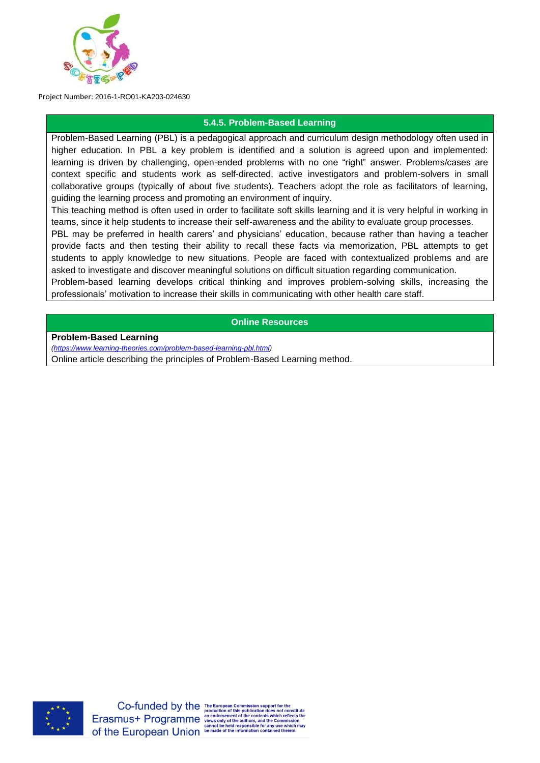

# **5.4.5. Problem-Based Learning**

Problem-Based Learning (PBL) is a pedagogical approach and curriculum design methodology often used in higher education. In PBL a key problem is identified and a solution is agreed upon and implemented: learning is driven by challenging, open-ended problems with no one "right" answer. Problems/cases are context specific and students work as self-directed, active investigators and problem-solvers in small collaborative groups (typically of about five students). Teachers adopt the role as facilitators of learning, guiding the learning process and promoting an environment of inquiry.

This teaching method is often used in order to facilitate soft skills learning and it is very helpful in working in teams, since it help students to increase their self-awareness and the ability to evaluate group processes.

PBL may be preferred in health carers' and physicians' education, because rather than having a teacher provide facts and then testing their ability to recall these facts via memorization, PBL attempts to get students to apply knowledge to new situations. People are faced with contextualized problems and are asked to investigate and discover meaningful solutions on difficult situation regarding communication.

Problem-based learning develops critical thinking and improves problem-solving skills, increasing the professionals' motivation to increase their skills in communicating with other health care staff.

#### **Online Resources**

**Problem-Based Learning**

*[\(https://www.learning-theories.com/problem-based-learning-pbl.html\)](https://www.learning-theories.com/problem-based-learning-pbl.html)*

Online article describing the principles of Problem-Based Learning method.



Co-funded by the The European Commission support for the<br>Erasmus+ Programme and order of this publication does not constitute<br>Erasmus+ Programme and order of the contents which reflects the<br>school of the authors, and the C